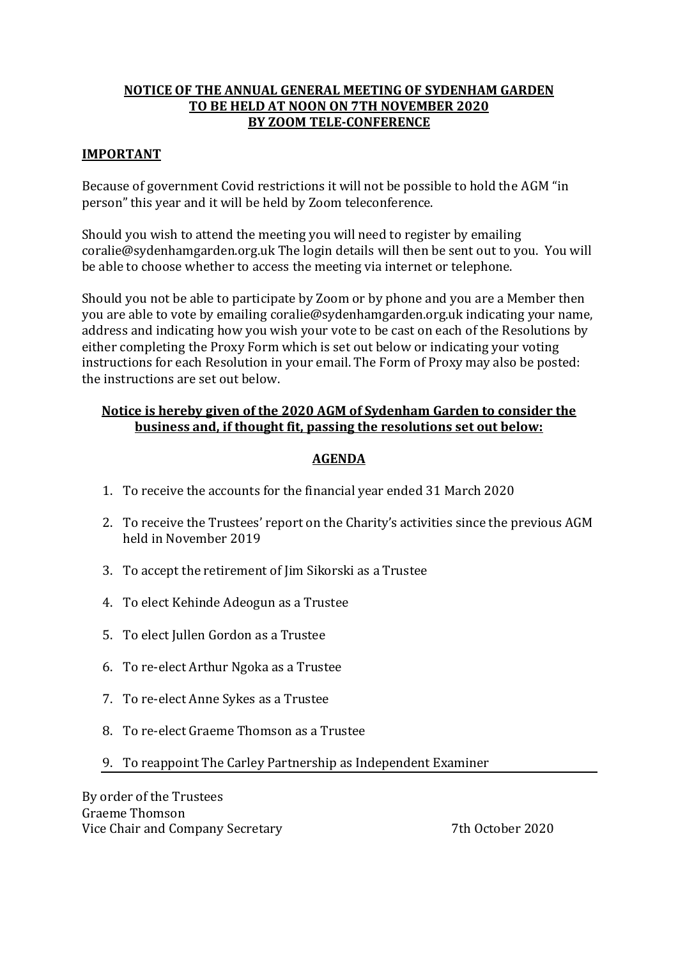# **NOTICE OF THE ANNUAL GENERAL MEETING OF SYDENHAM GARDEN TO BE HELD AT NOON ON 7TH NOVEMBER 2020 BY ZOOM TELE-CONFERENCE**

## **IMPORTANT**

Because of government Covid restrictions it will not be possible to hold the AGM "in person" this year and it will be held by Zoom teleconference.

Should you wish to attend the meeting you will need to register by emailing coralie@sydenhamgarden.org.uk The login details will then be sent out to you. You will be able to choose whether to access the meeting via internet or telephone.

Should you not be able to participate by Zoom or by phone and you are a Member then you are able to vote by emailing coralie@sydenhamgarden.org.uk indicating your name, address and indicating how you wish your vote to be cast on each of the Resolutions by either completing the Proxy Form which is set out below or indicating your voting instructions for each Resolution in your email. The Form of Proxy may also be posted: the instructions are set out below.

# **Notice is hereby given of the 2020 AGM of Sydenham Garden to consider the business and, if thought fit, passing the resolutions set out below:**

# **AGENDA**

- 1. To receive the accounts for the financial year ended 31 March 2020
- 2. To receive the Trustees' report on the Charity's activities since the previous AGM held in November 2019
- 3. To accept the retirement of Jim Sikorski as a Trustee
- 4. To elect Kehinde Adeogun as a Trustee
- 5. To elect Jullen Gordon as a Trustee
- 6. To re-elect Arthur Ngoka as a Trustee
- 7. To re-elect Anne Sykes as a Trustee
- 8. To re-elect Graeme Thomson as a Trustee
- 9. To reappoint The Carley Partnership as Independent Examiner

By order of the Trustees Graeme Thomson Vice Chair and Company Secretary 7th October 2020